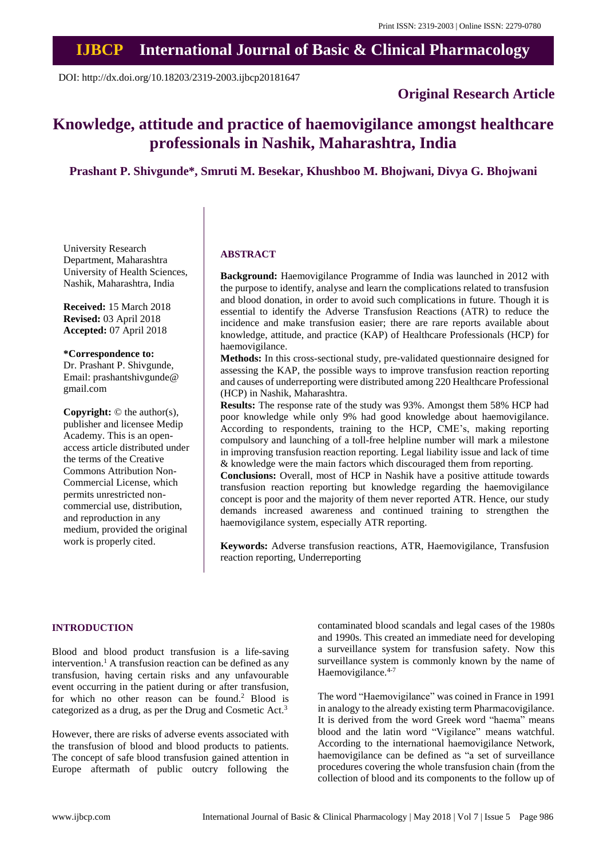# **IJBCP International Journal of Basic & Clinical Pharmacology**

DOI: http://dx.doi.org/10.18203/2319-2003.ijbcp20181647

## **Original Research Article**

## **Knowledge, attitude and practice of haemovigilance amongst healthcare professionals in Nashik, Maharashtra, India**

## **Prashant P. Shivgunde\*, Smruti M. Besekar, Khushboo M. Bhojwani, Divya G. Bhojwani**

University Research Department, Maharashtra University of Health Sciences, Nashik, Maharashtra, India

**Received:** 15 March 2018 **Revised:** 03 April 2018 **Accepted:** 07 April 2018

**\*Correspondence to:** Dr. Prashant P. Shivgunde, Email: prashantshivgunde@ gmail.com

**Copyright:** © the author(s), publisher and licensee Medip Academy. This is an openaccess article distributed under the terms of the Creative Commons Attribution Non-Commercial License, which permits unrestricted noncommercial use, distribution, and reproduction in any medium, provided the original work is properly cited.

#### **ABSTRACT**

**Background:** Haemovigilance Programme of India was launched in 2012 with the purpose to identify, analyse and learn the complications related to transfusion and blood donation, in order to avoid such complications in future. Though it is essential to identify the Adverse Transfusion Reactions (ATR) to reduce the incidence and make transfusion easier; there are rare reports available about knowledge, attitude, and practice (KAP) of Healthcare Professionals (HCP) for haemovigilance.

**Methods:** In this cross-sectional study, pre-validated questionnaire designed for assessing the KAP, the possible ways to improve transfusion reaction reporting and causes of underreporting were distributed among 220 Healthcare Professional (HCP) in Nashik, Maharashtra.

**Results:** The response rate of the study was 93%. Amongst them 58% HCP had poor knowledge while only 9% had good knowledge about haemovigilance. According to respondents, training to the HCP, CME's, making reporting compulsory and launching of a toll-free helpline number will mark a milestone in improving transfusion reaction reporting. Legal liability issue and lack of time & knowledge were the main factors which discouraged them from reporting.

**Conclusions:** Overall, most of HCP in Nashik have a positive attitude towards transfusion reaction reporting but knowledge regarding the haemovigilance concept is poor and the majority of them never reported ATR. Hence, our study demands increased awareness and continued training to strengthen the haemovigilance system, especially ATR reporting.

**Keywords:** Adverse transfusion reactions, ATR, Haemovigilance, Transfusion reaction reporting, Underreporting

#### **INTRODUCTION**

Blood and blood product transfusion is a life-saving intervention.<sup>1</sup> A transfusion reaction can be defined as any transfusion, having certain risks and any unfavourable event occurring in the patient during or after transfusion, for which no other reason can be found.<sup>2</sup> Blood is categorized as a drug, as per the Drug and Cosmetic Act.<sup>3</sup>

However, there are risks of adverse events associated with the transfusion of blood and blood products to patients. The concept of safe blood transfusion gained attention in Europe aftermath of public outcry following the contaminated blood scandals and legal cases of the 1980s and 1990s. This created an immediate need for developing a surveillance system for transfusion safety. Now this surveillance system is commonly known by the name of Haemovigilance.<sup>4-7</sup>

The word "Haemovigilance" was coined in France in 1991 in analogy to the already existing term Pharmacovigilance. It is derived from the word Greek word "haema" means blood and the latin word "Vigilance" means watchful. According to the international haemovigilance Network, haemovigilance can be defined as "a set of surveillance procedures covering the whole transfusion chain (from the collection of blood and its components to the follow up of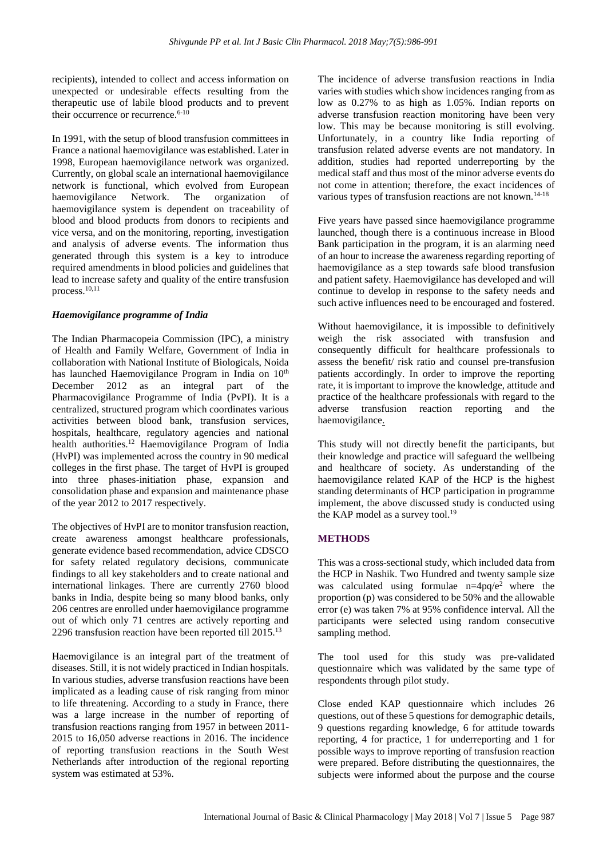recipients), intended to collect and access information on unexpected or undesirable effects resulting from the therapeutic use of labile blood products and to prevent their occurrence or recurrence.<sup>6-10</sup>

In 1991, with the setup of blood transfusion committees in France a national haemovigilance was established. Later in 1998, European haemovigilance network was organized. Currently, on global scale an international haemovigilance network is functional, which evolved from European haemovigilance Network. The organization of haemovigilance system is dependent on traceability of blood and blood products from donors to recipients and vice versa, and on the monitoring, reporting, investigation and analysis of adverse events. The information thus generated through this system is a key to introduce required amendments in blood policies and guidelines that lead to increase safety and quality of the entire transfusion process. 10,11

#### *Haemovigilance programme of India*

The Indian Pharmacopeia Commission (IPC), a ministry of Health and Family Welfare, Government of India in collaboration with National Institute of Biologicals, Noida has launched Haemovigilance Program in India on 10<sup>th</sup> December 2012 as an integral part of the Pharmacovigilance Programme of India (PvPI). It is a centralized, structured program which coordinates various activities between blood bank, transfusion services, hospitals, healthcare, regulatory agencies and national health authorities.<sup>12</sup> Haemovigilance Program of India (HvPI) was implemented across the country in 90 medical colleges in the first phase. The target of HvPI is grouped into three phases-initiation phase, expansion and consolidation phase and expansion and maintenance phase of the year 2012 to 2017 respectively.

The objectives of HvPI are to monitor transfusion reaction, create awareness amongst healthcare professionals, generate evidence based recommendation, advice CDSCO for safety related regulatory decisions, communicate findings to all key stakeholders and to create national and international linkages. There are currently 2760 blood banks in India, despite being so many blood banks, only 206 centres are enrolled under haemovigilance programme out of which only 71 centres are actively reporting and 2296 transfusion reaction have been reported till 2015.<sup>13</sup>

Haemovigilance is an integral part of the treatment of diseases. Still, it is not widely practiced in Indian hospitals. In various studies, adverse transfusion reactions have been implicated as a leading cause of risk ranging from minor to life threatening. According to a study in France, there was a large increase in the number of reporting of transfusion reactions ranging from 1957 in between 2011- 2015 to 16,050 adverse reactions in 2016. The incidence of reporting transfusion reactions in the South West Netherlands after introduction of the regional reporting system was estimated at 53%.

The incidence of adverse transfusion reactions in India varies with studies which show incidences ranging from as low as 0.27% to as high as 1.05%. Indian reports on adverse transfusion reaction monitoring have been very low. This may be because monitoring is still evolving. Unfortunately, in a country like India reporting of transfusion related adverse events are not mandatory. In addition, studies had reported underreporting by the medical staff and thus most of the minor adverse events do not come in attention; therefore, the exact incidences of various types of transfusion reactions are not known.<sup>14-18</sup>

Five years have passed since haemovigilance programme launched, though there is a continuous increase in Blood Bank participation in the program, it is an alarming need of an hour to increase the awareness regarding reporting of haemovigilance as a step towards safe blood transfusion and patient safety. Haemovigilance has developed and will continue to develop in response to the safety needs and such active influences need to be encouraged and fostered.

Without haemovigilance, it is impossible to definitively weigh the risk associated with transfusion and consequently difficult for healthcare professionals to assess the benefit/ risk ratio and counsel pre-transfusion patients accordingly. In order to improve the reporting rate, it is important to improve the knowledge, attitude and practice of the healthcare professionals with regard to the adverse transfusion reaction reporting and the haemovigilance.

This study will not directly benefit the participants, but their knowledge and practice will safeguard the wellbeing and healthcare of society. As understanding of the haemovigilance related KAP of the HCP is the highest standing determinants of HCP participation in programme implement, the above discussed study is conducted using the KAP model as a survey tool.<sup>19</sup>

#### **METHODS**

This was a cross-sectional study, which included data from the HCP in Nashik. Two Hundred and twenty sample size was calculated using formulae  $n=4pq/e^2$  where the proportion (p) was considered to be 50% and the allowable error (e) was taken 7% at 95% confidence interval. All the participants were selected using random consecutive sampling method.

The tool used for this study was pre-validated questionnaire which was validated by the same type of respondents through pilot study.

Close ended KAP questionnaire which includes 26 questions, out of these 5 questions for demographic details, 9 questions regarding knowledge, 6 for attitude towards reporting, 4 for practice, 1 for underreporting and 1 for possible ways to improve reporting of transfusion reaction were prepared. Before distributing the questionnaires, the subjects were informed about the purpose and the course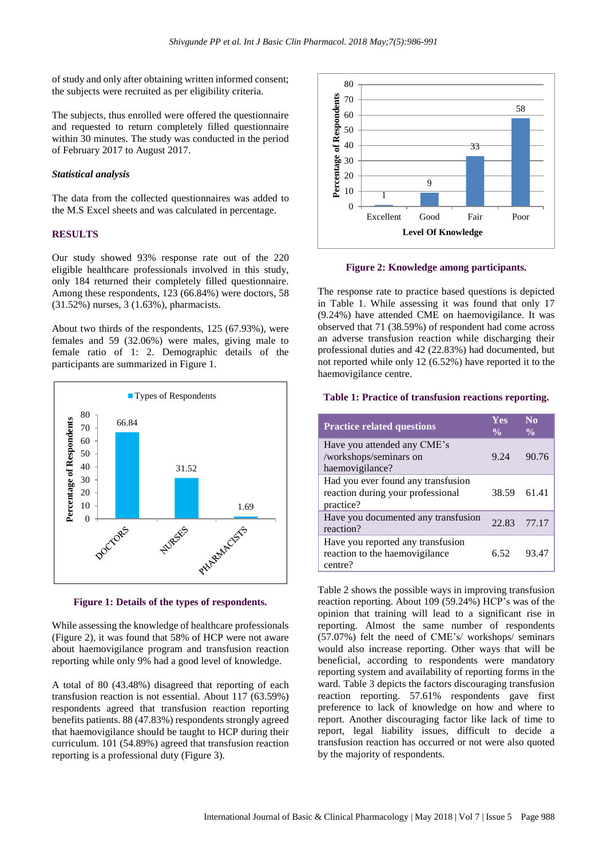of study and only after obtaining written informed consent; the subjects were recruited as per eligibility criteria.

The subjects, thus enrolled were offered the questionnaire and requested to return completely filled questionnaire within 30 minutes. The study was conducted in the period of February 2017 to August 2017.

#### *Statistical analysis*

The data from the collected questionnaires was added to the M.S Excel sheets and was calculated in percentage.

#### **RESULTS**

Our study showed 93% response rate out of the 220 eligible healthcare professionals involved in this study, only 184 returned their completely filled questionnaire. Among these respondents, 123 (66.84%) were doctors, 58 (31.52%) nurses, 3 (1.63%), pharmacists.

About two thirds of the respondents, 125 (67.93%), were females and 59 (32.06%) were males, giving male to female ratio of 1: 2. Demographic details of the participants are summarized in Figure 1.



**Figure 1: Details of the types of respondents.**

While assessing the knowledge of healthcare professionals (Figure 2), it was found that 58% of HCP were not aware about haemovigilance program and transfusion reaction reporting while only 9% had a good level of knowledge.

A total of 80 (43.48%) disagreed that reporting of each transfusion reaction is not essential. About 117 (63.59%) respondents agreed that transfusion reaction reporting benefits patients. 88 (47.83%) respondents strongly agreed that haemovigilance should be taught to HCP during their curriculum. 101 (54.89%) agreed that transfusion reaction reporting is a professional duty (Figure 3).



**Figure 2: Knowledge among participants.**

The response rate to practice based questions is depicted in Table 1. While assessing it was found that only 17 (9.24%) have attended CME on haemovigilance. It was observed that 71 (38.59%) of respondent had come across an adverse transfusion reaction while discharging their professional duties and 42 (22.83%) had documented, but not reported while only 12 (6.52%) have reported it to the haemovigilance centre.

#### **Table 1: Practice of transfusion reactions reporting.**

| <b>Practice related questions</b>                                                    | Yes<br>$\frac{0}{0}$ | $\mathbf{N}\mathbf{0}$<br>$\frac{0}{\alpha}$ |
|--------------------------------------------------------------------------------------|----------------------|----------------------------------------------|
| Have you attended any CME's<br>/workshops/seminars on<br>haemovigilance?             | 9.24                 | 90.76                                        |
| Had you ever found any transfusion<br>reaction during your professional<br>practice? | 38.59                | 61.41                                        |
| Have you documented any transfusion<br>reaction?                                     | 22.83                | 77.17                                        |
| Have you reported any transfusion<br>reaction to the haemovigilance<br>centre?       | 6.52                 | 93.4                                         |

Table 2 shows the possible ways in improving transfusion reaction reporting. About 109 (59.24%) HCP's was of the opinion that training will lead to a significant rise in reporting. Almost the same number of respondents (57.07%) felt the need of CME's/ workshops/ seminars would also increase reporting. Other ways that will be beneficial, according to respondents were mandatory reporting system and availability of reporting forms in the ward. Table 3 depicts the factors discouraging transfusion reaction reporting. 57.61% respondents gave first preference to lack of knowledge on how and where to report. Another discouraging factor like lack of time to report, legal liability issues, difficult to decide a transfusion reaction has occurred or not were also quoted by the majority of respondents.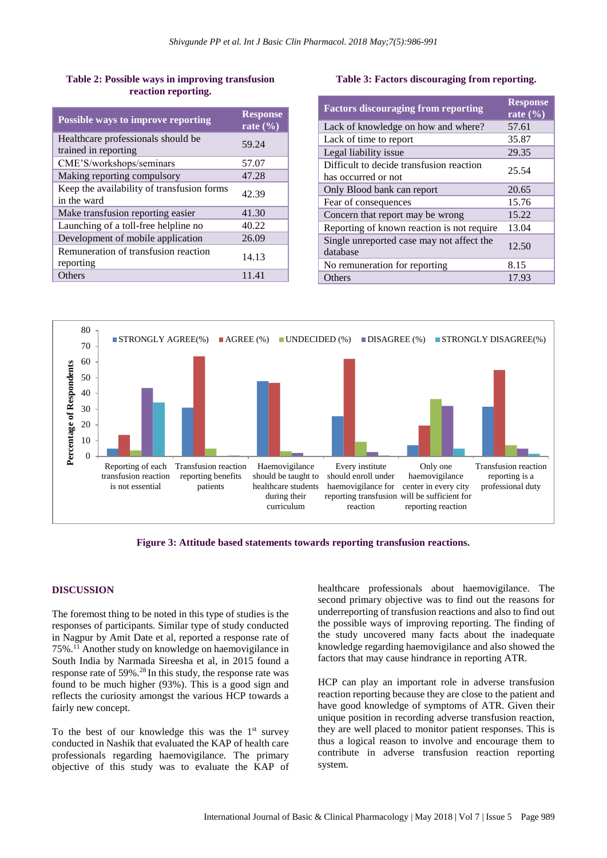### **Table 2: Possible ways in improving transfusion reaction reporting.**

| <b>Possible ways to improve reporting</b>                  | <b>Response</b><br>rate $(\% )$ |
|------------------------------------------------------------|---------------------------------|
| Healthcare professionals should be<br>trained in reporting | 59.24                           |
| CME'S/workshops/seminars                                   | 57.07                           |
| Making reporting compulsory                                | 47.28                           |
| Keep the availability of transfusion forms<br>in the ward  | 42.39                           |
| Make transfusion reporting easier                          | 41.30                           |
| Launching of a toll-free helpline no                       | 40.22                           |
| Development of mobile application                          | 26.09                           |
| Remuneration of transfusion reaction<br>reporting          | 14.13                           |
| Others                                                     | 11.41                           |

## **Table 3: Factors discouraging from reporting.**

| <b>Factors discouraging from reporting</b>                      | <b>Response</b><br>rate $(\% )$ |
|-----------------------------------------------------------------|---------------------------------|
| Lack of knowledge on how and where?                             | 57.61                           |
| Lack of time to report                                          | 35.87                           |
| Legal liability issue                                           | 29.35                           |
| Difficult to decide transfusion reaction<br>has occurred or not | 25.54                           |
| Only Blood bank can report                                      | 20.65                           |
| Fear of consequences                                            | 15.76                           |
| Concern that report may be wrong                                | 15.22                           |
| Reporting of known reaction is not require                      | 13.04                           |
| Single unreported case may not affect the<br>database           | 12.50                           |
| No remuneration for reporting                                   | 8.15                            |
| Others                                                          | 17.93                           |



**Figure 3: Attitude based statements towards reporting transfusion reactions.**

## **DISCUSSION**

The foremost thing to be noted in this type of studies is the responses of participants. Similar type of study conducted in Nagpur by Amit Date et al, reported a response rate of 75%.<sup>11</sup> Another study on knowledge on haemovigilance in South India by Narmada Sireesha et al, in 2015 found a response rate of 59%.<sup>28</sup> In this study, the response rate was found to be much higher (93%). This is a good sign and reflects the curiosity amongst the various HCP towards a fairly new concept.

To the best of our knowledge this was the  $1<sup>st</sup>$  survey conducted in Nashik that evaluated the KAP of health care professionals regarding haemovigilance. The primary objective of this study was to evaluate the KAP of healthcare professionals about haemovigilance. The second primary objective was to find out the reasons for underreporting of transfusion reactions and also to find out the possible ways of improving reporting. The finding of the study uncovered many facts about the inadequate knowledge regarding haemovigilance and also showed the factors that may cause hindrance in reporting ATR.

HCP can play an important role in adverse transfusion reaction reporting because they are close to the patient and have good knowledge of symptoms of ATR. Given their unique position in recording adverse transfusion reaction, they are well placed to monitor patient responses. This is thus a logical reason to involve and encourage them to contribute in adverse transfusion reaction reporting system.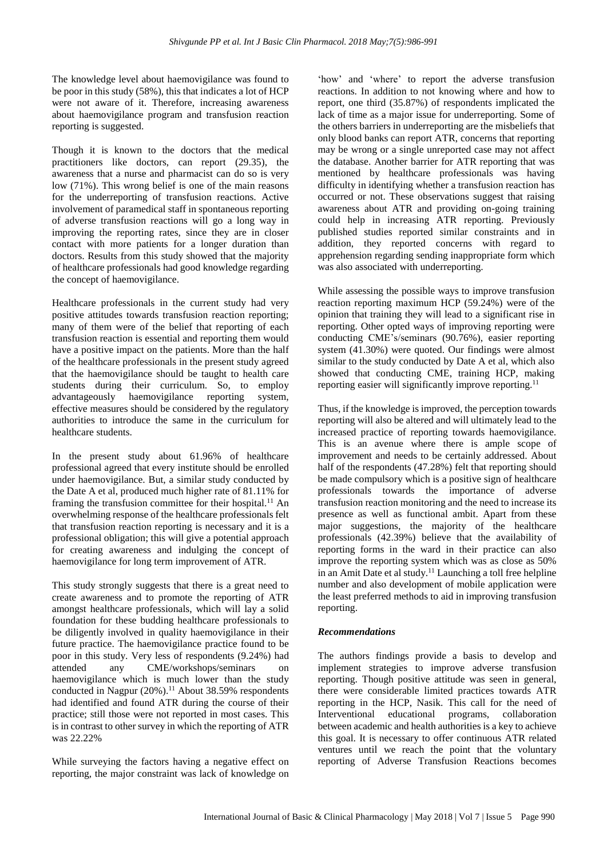The knowledge level about haemovigilance was found to be poor in this study (58%), this that indicates a lot of HCP were not aware of it. Therefore, increasing awareness about haemovigilance program and transfusion reaction reporting is suggested.

Though it is known to the doctors that the medical practitioners like doctors, can report (29.35), the awareness that a nurse and pharmacist can do so is very low (71%). This wrong belief is one of the main reasons for the underreporting of transfusion reactions. Active involvement of paramedical staff in spontaneous reporting of adverse transfusion reactions will go a long way in improving the reporting rates, since they are in closer contact with more patients for a longer duration than doctors. Results from this study showed that the majority of healthcare professionals had good knowledge regarding the concept of haemovigilance.

Healthcare professionals in the current study had very positive attitudes towards transfusion reaction reporting; many of them were of the belief that reporting of each transfusion reaction is essential and reporting them would have a positive impact on the patients. More than the half of the healthcare professionals in the present study agreed that the haemovigilance should be taught to health care students during their curriculum. So, to employ advantageously haemovigilance reporting system, effective measures should be considered by the regulatory authorities to introduce the same in the curriculum for healthcare students.

In the present study about 61.96% of healthcare professional agreed that every institute should be enrolled under haemovigilance. But, a similar study conducted by the Date A et al, produced much higher rate of 81.11% for framing the transfusion committee for their hospital.<sup>11</sup> An overwhelming response of the healthcare professionals felt that transfusion reaction reporting is necessary and it is a professional obligation; this will give a potential approach for creating awareness and indulging the concept of haemovigilance for long term improvement of ATR.

This study strongly suggests that there is a great need to create awareness and to promote the reporting of ATR amongst healthcare professionals, which will lay a solid foundation for these budding healthcare professionals to be diligently involved in quality haemovigilance in their future practice. The haemovigilance practice found to be poor in this study. Very less of respondents (9.24%) had attended any CME/workshops/seminars on haemovigilance which is much lower than the study conducted in Nagpur  $(20\%)$ .<sup>11</sup> About 38.59% respondents had identified and found ATR during the course of their practice; still those were not reported in most cases. This is in contrast to other survey in which the reporting of ATR was 22.22%

While surveying the factors having a negative effect on reporting, the major constraint was lack of knowledge on

'how' and 'where' to report the adverse transfusion reactions. In addition to not knowing where and how to report, one third (35.87%) of respondents implicated the lack of time as a major issue for underreporting. Some of the others barriers in underreporting are the misbeliefs that only blood banks can report ATR, concerns that reporting may be wrong or a single unreported case may not affect the database. Another barrier for ATR reporting that was mentioned by healthcare professionals was having difficulty in identifying whether a transfusion reaction has occurred or not. These observations suggest that raising awareness about ATR and providing on-going training could help in increasing ATR reporting. Previously published studies reported similar constraints and in addition, they reported concerns with regard to apprehension regarding sending inappropriate form which was also associated with underreporting.

While assessing the possible ways to improve transfusion reaction reporting maximum HCP (59.24%) were of the opinion that training they will lead to a significant rise in reporting. Other opted ways of improving reporting were conducting CME's/seminars (90.76%), easier reporting system (41.30%) were quoted. Our findings were almost similar to the study conducted by Date A et al, which also showed that conducting CME, training HCP, making reporting easier will significantly improve reporting.<sup>11</sup>

Thus, if the knowledge is improved, the perception towards reporting will also be altered and will ultimately lead to the increased practice of reporting towards haemovigilance. This is an avenue where there is ample scope of improvement and needs to be certainly addressed. About half of the respondents (47.28%) felt that reporting should be made compulsory which is a positive sign of healthcare professionals towards the importance of adverse transfusion reaction monitoring and the need to increase its presence as well as functional ambit. Apart from these major suggestions, the majority of the healthcare professionals (42.39%) believe that the availability of reporting forms in the ward in their practice can also improve the reporting system which was as close as 50% in an Amit Date et al study. <sup>11</sup> Launching a toll free helpline number and also development of mobile application were the least preferred methods to aid in improving transfusion reporting.

#### *Recommendations*

The authors findings provide a basis to develop and implement strategies to improve adverse transfusion reporting. Though positive attitude was seen in general, there were considerable limited practices towards ATR reporting in the HCP, Nasik. This call for the need of Interventional educational programs, collaboration between academic and health authorities is a key to achieve this goal. It is necessary to offer continuous ATR related ventures until we reach the point that the voluntary reporting of Adverse Transfusion Reactions becomes